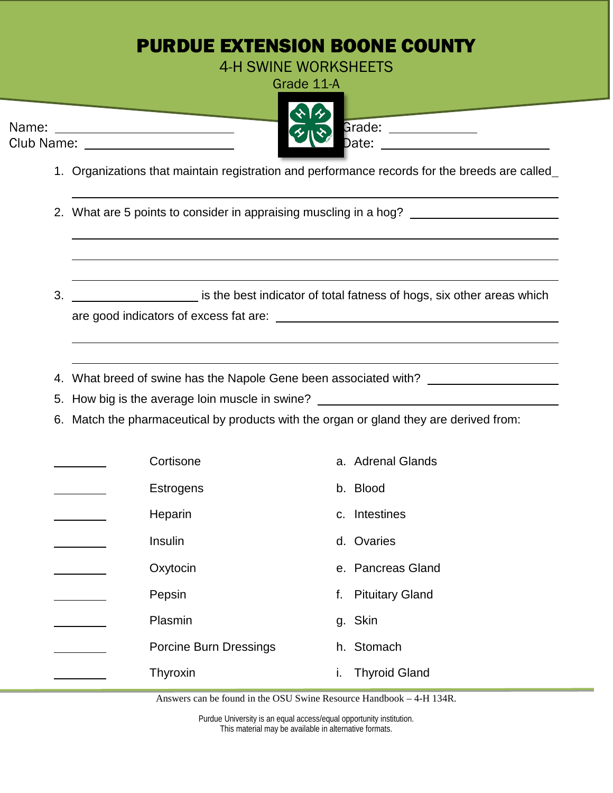## PURDUE EXTENSION BOONE COUNTY

4-H SWINE WORKSHEETS

Grade 11-A



- 1. Organizations that maintain registration and performance records for the breeds are called
- 2. What are 5 points to consider in appraising muscling in a hog? \_\_\_\_\_\_\_\_\_\_\_\_\_\_
- 3. <u>is the best indicator of total fatness of hogs, six other areas which</u>

are good indicators of excess fat are:

- 4. What breed of swine has the Napole Gene been associated with?
- 5. How big is the average loin muscle in swine?
- 6. Match the pharmaceutical by products with the organ or gland they are derived from:

| Cortisone                     | a. Adrenal Glands          |
|-------------------------------|----------------------------|
| <b>Estrogens</b>              | b. Blood                   |
| Heparin                       | c. Intestines              |
| Insulin                       | d. Ovaries                 |
| Oxytocin                      | e. Pancreas Gland          |
| Pepsin                        | f. Pituitary Gland         |
| Plasmin                       | g. Skin                    |
| <b>Porcine Burn Dressings</b> | h. Stomach                 |
| Thyroxin                      | <b>Thyroid Gland</b><br>τ. |
|                               |                            |

Answers can be found in the OSU Swine Resource Handbook – 4-H 134R.